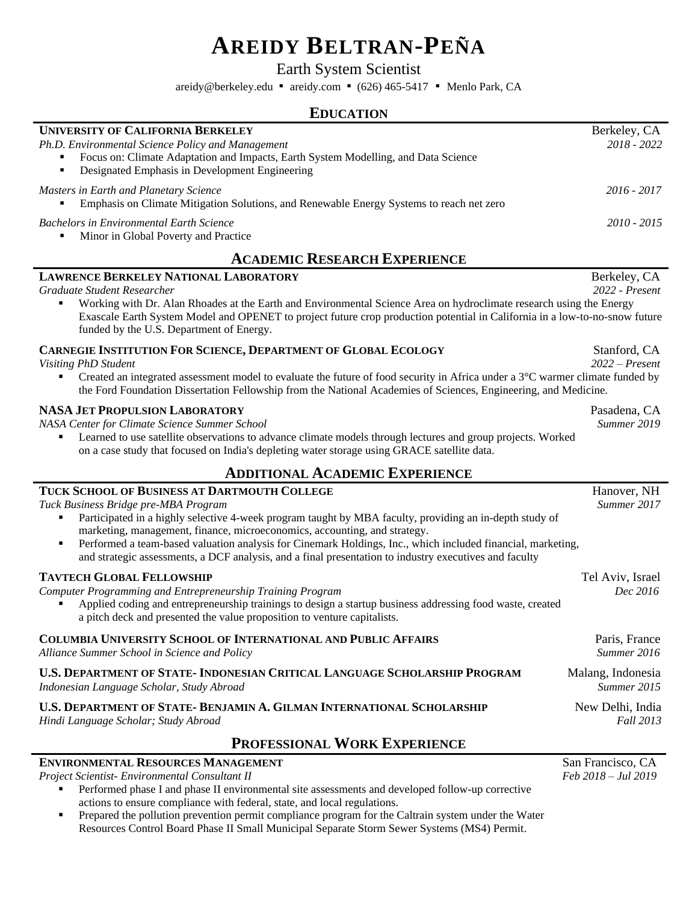# **AREIDY BELTRAN-PEÑA**

Earth System Scientist

areidy@berkeley.edu ▪ areidy.com ▪ (626) 465-5417 ▪ Menlo Park, CA

### **EDUCATION**

| <b>UNIVERSITY OF CALIFORNIA BERKELEY</b>                                                                                                                                                  | Berkeley, CA  |
|-------------------------------------------------------------------------------------------------------------------------------------------------------------------------------------------|---------------|
| Ph.D. Environmental Science Policy and Management<br>Focus on: Climate Adaptation and Impacts, Earth System Modelling, and Data Science<br>Designated Emphasis in Development Engineering | $2018 - 2022$ |
| Masters in Earth and Planetary Science<br>Emphasis on Climate Mitigation Solutions, and Renewable Energy Systems to reach net zero                                                        | 2016 - 2017   |
| <b>Bachelors in Environmental Earth Science</b><br>Minor in Global Poverty and Practice                                                                                                   | $2010 - 2015$ |

# **ACADEMIC RESEARCH EXPERIENCE**

| <b>LAWRENCE BERKELEY NATIONAL LABORATORY</b><br>Graduate Student Researcher                                                                                                                                                                                                                                                                                                                                                                                                                           | Berkeley, CA<br>2022 - Present   |  |
|-------------------------------------------------------------------------------------------------------------------------------------------------------------------------------------------------------------------------------------------------------------------------------------------------------------------------------------------------------------------------------------------------------------------------------------------------------------------------------------------------------|----------------------------------|--|
| Working with Dr. Alan Rhoades at the Earth and Environmental Science Area on hydroclimate research using the Energy<br>Exascale Earth System Model and OPENET to project future crop production potential in California in a low-to-no-snow future<br>funded by the U.S. Department of Energy.                                                                                                                                                                                                        |                                  |  |
| CARNEGIE INSTITUTION FOR SCIENCE, DEPARTMENT OF GLOBAL ECOLOGY<br><b>Visiting PhD Student</b><br>Created an integrated assessment model to evaluate the future of food security in Africa under a $3^{\circ}$ C warmer climate funded by<br>the Ford Foundation Dissertation Fellowship from the National Academies of Sciences, Engineering, and Medicine.                                                                                                                                           | Stanford, CA<br>$2022$ – Present |  |
| <b>NASA JET PROPULSION LABORATORY</b><br>NASA Center for Climate Science Summer School<br>Learned to use satellite observations to advance climate models through lectures and group projects. Worked<br>on a case study that focused on India's depleting water storage using GRACE satellite data.                                                                                                                                                                                                  | Pasadena, CA<br>Summer 2019      |  |
| <b>ADDITIONAL ACADEMIC EXPERIENCE</b>                                                                                                                                                                                                                                                                                                                                                                                                                                                                 |                                  |  |
| TUCK SCHOOL OF BUSINESS AT DARTMOUTH COLLEGE<br>Tuck Business Bridge pre-MBA Program<br>Participated in a highly selective 4-week program taught by MBA faculty, providing an in-depth study of<br>marketing, management, finance, microeconomics, accounting, and strategy.<br>Performed a team-based valuation analysis for Cinemark Holdings, Inc., which included financial, marketing,<br>and strategic assessments, a DCF analysis, and a final presentation to industry executives and faculty | Hanover, NH<br>Summer 2017       |  |
| <b>TAVTECH GLOBAL FELLOWSHIP</b><br>Computer Programming and Entrepreneurship Training Program<br>Applied coding and entrepreneurship trainings to design a startup business addressing food waste, created<br>a pitch deck and presented the value proposition to venture capitalists.                                                                                                                                                                                                               | Tel Aviv, Israel<br>Dec 2016     |  |
| <b>COLUMBIA UNIVERSITY SCHOOL OF INTERNATIONAL AND PUBLIC AFFAIRS</b><br>Alliance Summer School in Science and Policy                                                                                                                                                                                                                                                                                                                                                                                 | Paris, France<br>Summer 2016     |  |
| <b>U.S. DEPARTMENT OF STATE- INDONESIAN CRITICAL LANGUAGE SCHOLARSHIP PROGRAM</b><br>Indonesian Language Scholar, Study Abroad                                                                                                                                                                                                                                                                                                                                                                        | Malang, Indonesia<br>Summer 2015 |  |
| <b>U.S. DEPARTMENT OF STATE- BENJAMIN A. GILMAN INTERNATIONAL SCHOLARSHIP</b><br>Hindi Language Scholar; Study Abroad                                                                                                                                                                                                                                                                                                                                                                                 | New Delhi, India<br>Fall 2013    |  |
| <b>DEAERGIAM I WADE EXPEDIENCE</b>                                                                                                                                                                                                                                                                                                                                                                                                                                                                    |                                  |  |

## **PROFESSIONAL WORK EXPERIENCE**

#### **ENVIRONMENTAL RESOURCES MANAGEMENT** San Francisco, CA

*Project Scientist- Environmental Consultant II Feb 2018 – Jul 2019*

**•** Performed phase I and phase II environmental site assessments and developed follow-up corrective actions to ensure compliance with federal, state, and local regulations.

**•** Prepared the pollution prevention permit compliance program for the Caltrain system under the Water Resources Control Board Phase II Small Municipal Separate Storm Sewer Systems (MS4) Permit.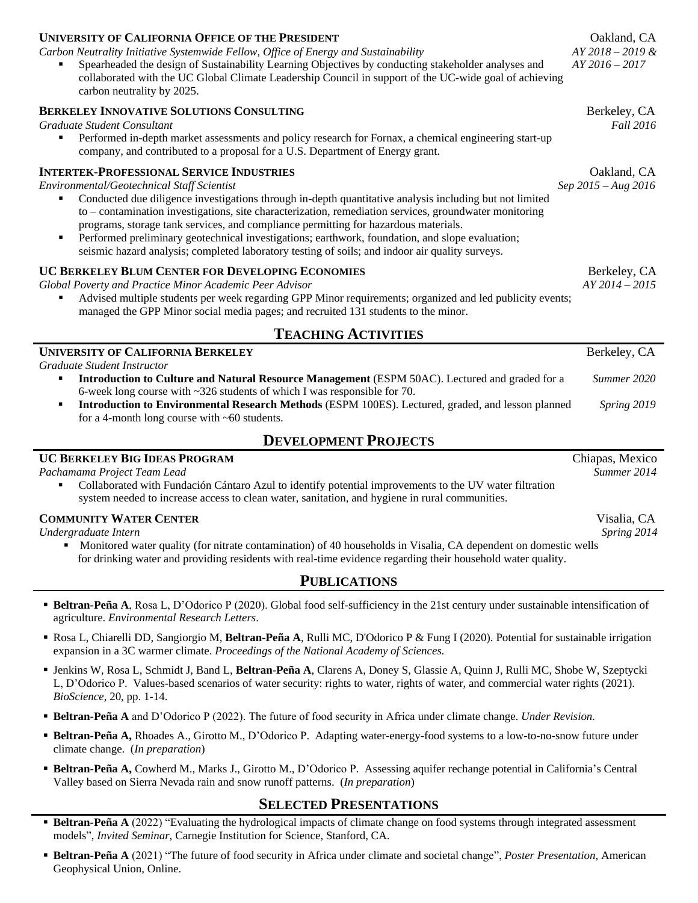| <b>UNIVERSITY OF CALIFORNIA OFFICE OF THE PRESIDENT</b>                                                                                                                                                                                                                                                                                                                                                                                                                                                        | Oakland, CA                             |  |
|----------------------------------------------------------------------------------------------------------------------------------------------------------------------------------------------------------------------------------------------------------------------------------------------------------------------------------------------------------------------------------------------------------------------------------------------------------------------------------------------------------------|-----------------------------------------|--|
| Carbon Neutrality Initiative Systemwide Fellow, Office of Energy and Sustainability<br>Spearheaded the design of Sustainability Learning Objectives by conducting stakeholder analyses and<br>collaborated with the UC Global Climate Leadership Council in support of the UC-wide goal of achieving<br>carbon neutrality by 2025.                                                                                                                                                                             | $AY 2018 - 2019 \&$<br>$AY 2016 - 2017$ |  |
| <b>BERKELEY INNOVATIVE SOLUTIONS CONSULTING</b><br>Graduate Student Consultant<br>Performed in-depth market assessments and policy research for Fornax, a chemical engineering start-up<br>company, and contributed to a proposal for a U.S. Department of Energy grant.                                                                                                                                                                                                                                       | Berkeley, CA<br><b>Fall 2016</b>        |  |
| <b>INTERTEK-PROFESSIONAL SERVICE INDUSTRIES</b>                                                                                                                                                                                                                                                                                                                                                                                                                                                                | Oakland, CA                             |  |
| Environmental/Geotechnical Staff Scientist                                                                                                                                                                                                                                                                                                                                                                                                                                                                     | Sep $2015 - Aug\ 2016$                  |  |
| Conducted due diligence investigations through in-depth quantitative analysis including but not limited<br>to – contamination investigations, site characterization, remediation services, groundwater monitoring<br>programs, storage tank services, and compliance permitting for hazardous materials.<br>Performed preliminary geotechnical investigations; earthwork, foundation, and slope evaluation;<br>seismic hazard analysis; completed laboratory testing of soils; and indoor air quality surveys. |                                         |  |
| UC BERKELEY BLUM CENTER FOR DEVELOPING ECONOMIES                                                                                                                                                                                                                                                                                                                                                                                                                                                               | Berkeley, CA                            |  |
| Global Poverty and Practice Minor Academic Peer Advisor<br>Advised multiple students per week regarding GPP Minor requirements; organized and led publicity events;<br>managed the GPP Minor social media pages; and recruited 131 students to the minor.                                                                                                                                                                                                                                                      | $AY 2014 - 2015$                        |  |
| <b>TEACHING ACTIVITIES</b>                                                                                                                                                                                                                                                                                                                                                                                                                                                                                     |                                         |  |
| <b>UNIVERSITY OF CALIFORNIA BERKELEY</b>                                                                                                                                                                                                                                                                                                                                                                                                                                                                       | Berkeley, CA                            |  |
| Graduate Student Instructor                                                                                                                                                                                                                                                                                                                                                                                                                                                                                    |                                         |  |

- **Introduction to Culture and Natural Resource Management** (ESPM 50AC). Lectured and graded for a *Summer 2020* 6-week long course with ~326 students of which I was responsible for 70.
- **Introduction to Environmental Research Methods** (ESPM 100ES). Lectured, graded, and lesson planned *Spring 2019* for a 4-month long course with ~60 students.

## **DEVELOPMENT PROJECTS**

#### **UC BERKELEY BIG IDEAS PROGRAM** Chiapas, Mexico *Pachamama Project Team Lead Summer 2014* Collaborated with Fundación Cántaro Azul to identify potential improvements to the UV water filtration system needed to increase access to clean water, sanitation, and hygiene in rural communities. **COMMUNITY WATER CENTER** Visalia, CA *Undergraduate Intern Spring 2014* ▪ Monitored water quality (for nitrate contamination) of 40 households in Visalia, CA dependent on domestic wells for drinking water and providing residents with real-time evidence regarding their household water quality.

## **PUBLICATIONS**

- **Beltran-Peña A**, Rosa L, D'Odorico P (2020). Global food self-sufficiency in the 21st century under sustainable intensification of agriculture. *Environmental Research Letters*.
- Rosa L, Chiarelli DD, Sangiorgio M, **Beltran-Peña A**, Rulli MC, D'Odorico P & Fung I (2020). Potential for sustainable irrigation expansion in a 3C warmer climate. *Proceedings of the National Academy of Sciences.*
- Jenkins W, Rosa L, Schmidt J, Band L, **Beltran-Peña A**, Clarens A, Doney S, Glassie A, Quinn J, Rulli MC, Shobe W, Szeptycki L, D'Odorico P. Values-based scenarios of water security: rights to water, rights of water, and commercial water rights (2021). *BioScience,* 20, pp. 1-14.
- **Example 1 Beltran-Peña A** and D'Odorico P (2022). The future of food security in Africa under climate change. *Under Revision*.
- **Beltran-Peña A,** Rhoades A., Girotto M., D'Odorico P. Adapting water-energy-food systems to a low-to-no-snow future under climate change. (*In preparation*)
- **Beltran-Peña A,** Cowherd M., Marks J., Girotto M., D'Odorico P. Assessing aquifer rechange potential in California's Central Valley based on Sierra Nevada rain and snow runoff patterns. (*In preparation*)

## **SELECTED PRESENTATIONS**

- **Beltran-Peña A** (2022) "Evaluating the hydrological impacts of climate change on food systems through integrated assessment models", *Invited Seminar,* Carnegie Institution for Science, Stanford, CA.
- **Beltran-Peña A** (2021) "The future of food security in Africa under climate and societal change", *Poster Presentation*, American Geophysical Union, Online.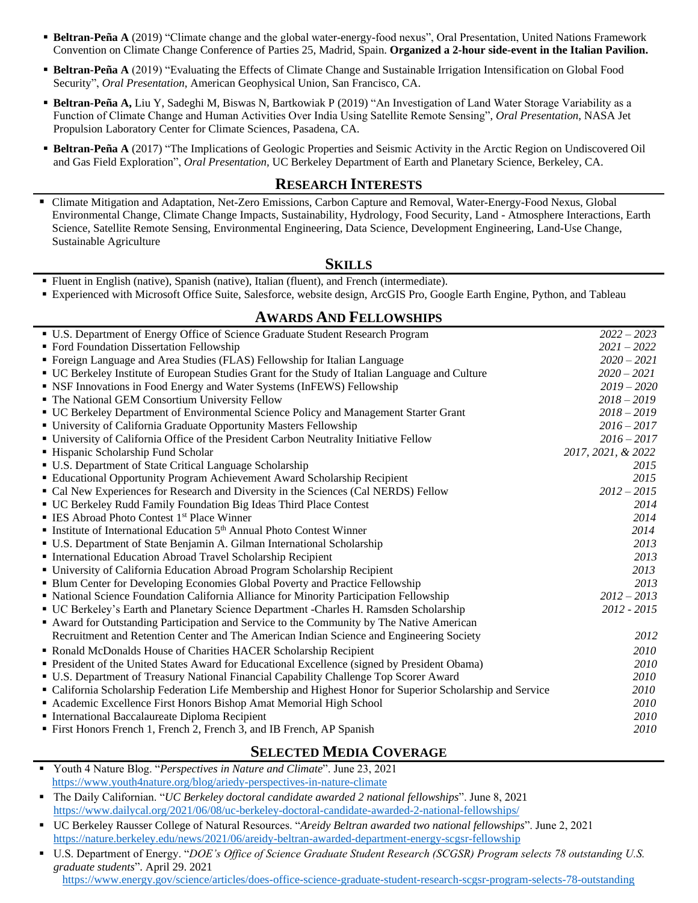- **Eltran-Peña A** (2019) "Climate change and the global water-energy-food nexus", Oral Presentation, United Nations Framework Convention on Climate Change Conference of Parties 25, Madrid, Spain. **Organized a 2-hour side-event in the Italian Pavilion.**
- **Beltran-Peña A** (2019) "Evaluating the Effects of Climate Change and Sustainable Irrigation Intensification on Global Food Security", *Oral Presentation*, American Geophysical Union, San Francisco, CA.
- **Beltran-Peña A,** Liu Y, Sadeghi M, Biswas N, Bartkowiak P (2019) "An Investigation of Land Water Storage Variability as a Function of Climate Change and Human Activities Over India Using Satellite Remote Sensing", *Oral Presentation*, NASA Jet Propulsion Laboratory Center for Climate Sciences, Pasadena, CA.
- **Beltran-Peña A** (2017) "The Implications of Geologic Properties and Seismic Activity in the Arctic Region on Undiscovered Oil and Gas Field Exploration", *Oral Presentation,* UC Berkeley Department of Earth and Planetary Science, Berkeley, CA.

#### **RESEARCH INTERESTS**

▪ Climate Mitigation and Adaptation, Net-Zero Emissions, Carbon Capture and Removal, Water-Energy-Food Nexus, Global Environmental Change, Climate Change Impacts, Sustainability, Hydrology, Food Security, Land - Atmosphere Interactions, Earth Science, Satellite Remote Sensing, Environmental Engineering, Data Science, Development Engineering, Land-Use Change, Sustainable Agriculture

### **SKILLS**

- Fluent in English (native), Spanish (native), Italian (fluent), and French (intermediate).
- Experienced with Microsoft Office Suite, Salesforce, website design, ArcGIS Pro, Google Earth Engine, Python, and Tableau

#### ▪ U.S. Department of Energy Office of Science Graduate Student Research Program *2022 – 2023* ▪ Ford Foundation Dissertation Fellowship *2021 – 2022* ▪ Foreign Language and Area Studies (FLAS) Fellowship for Italian Language *2020 – 2021* ▪ UC Berkeley Institute of European Studies Grant for the Study of Italian Language and Culture *2020 – 2021* ■ NSF Innovations in Food Energy and Water Systems (InFEWS) Fellowship *2019 – 2020* ■ The National GEM Consortium University Fellow *2018 – 2019 2018 – 2019* ▪ UC Berkeley Department of Environmental Science Policy and Management Starter Grant *2018 – 2019* ▪ University of California Graduate Opportunity Masters Fellowship *2016 – 2017* ▪ University of California Office of the President Carbon Neutrality Initiative Fellow *2016 – 2017* ▪ Hispanic Scholarship Fund Scholar *2017, 2021, & 2022* ▪ U.S. Department of State Critical Language Scholarship *2015* ▪ Educational Opportunity Program Achievement Award Scholarship Recipient *2015* ■ Cal New Experiences for Research and Diversity in the Sciences (Cal NERDS) Fellow *2012 – 2015* ▪ UC Berkeley Rudd Family Foundation Big Ideas Third Place Contest *2014* ▪ IES Abroad Photo Contest 1st Place Winner *2014* **Example 3** Institute of International Education 5<sup>th</sup> Annual Photo Contest Winner *2014* ▪ U.S. Department of State Benjamin A. Gilman International Scholarship *2013* ▪ International Education Abroad Travel Scholarship Recipient *2013* ▪ University of California Education Abroad Program Scholarship Recipient *2013* ▪ Blum Center for Developing Economies Global Poverty and Practice Fellowship *2013* ▪ National Science Foundation California Alliance for Minority Participation Fellowship *2012 – 2013* ▪ UC Berkeley's Earth and Planetary Science Department -Charles H. Ramsden Scholarship *2012 - 2015* ▪ Award for Outstanding Participation and Service to the Community by The Native American Recruitment and Retention Center and The American Indian Science and Engineering Society *2012* ▪ Ronald McDonalds House of Charities HACER Scholarship Recipient *2010* ▪ President of the United States Award for Educational Excellence (signed by President Obama) *2010* ▪ U.S. Department of Treasury National Financial Capability Challenge Top Scorer Award *2010* ▪ California Scholarship Federation Life Membership and Highest Honor for Superior Scholarship and Service *2010* ■ Academic Excellence First Honors Bishop Amat Memorial High School *2010 2010* ▪ International Baccalaureate Diploma Recipient *2010* ■ First Honors French 1, French 2, French 3, and IB French, AP Spanish *2010*

## **SELECTED MEDIA COVERAGE**

- Youth 4 Nature Blog. "*Perspectives in Nature and Climate*". June 23, 2021 <https://www.youth4nature.org/blog/ariedy-perspectives-in-nature-climate>
- The Daily Californian. "*UC Berkeley doctoral candidate awarded 2 national fellowships*". June 8, 2021 <https://www.dailycal.org/2021/06/08/uc-berkeley-doctoral-candidate-awarded-2-national-fellowships/>
- UC Berkeley Rausser College of Natural Resources. "*Areidy Beltran awarded two national fellowships*". June 2, 2021 <https://nature.berkeley.edu/news/2021/06/areidy-beltran-awarded-department-energy-scgsr-fellowship>
- U.S. Department of Energy. "*DOE's Office of Science Graduate Student Research (SCGSR) Program selects 78 outstanding U.S. graduate students*". April 29. 2021

<https://www.energy.gov/science/articles/does-office-science-graduate-student-research-scgsr-program-selects-78-outstanding>

#### **AWARDS AND FELLOWSHIPS**